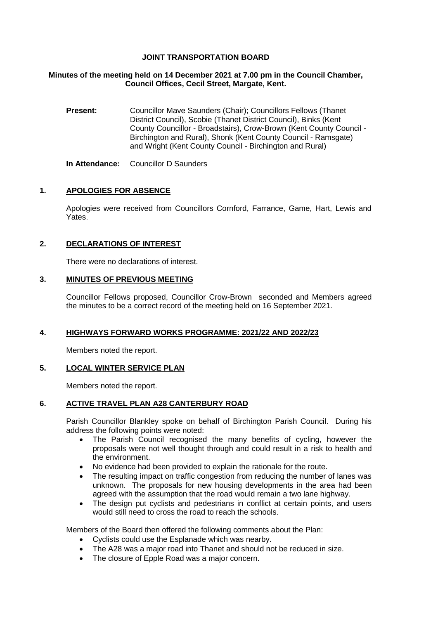# **JOINT TRANSPORTATION BOARD**

### **Minutes of the meeting held on 14 December 2021 at 7.00 pm in the Council Chamber, Council Offices, Cecil Street, Margate, Kent.**

**Present:** Councillor Mave Saunders (Chair); Councillors Fellows (Thanet District Council), Scobie (Thanet District Council), Binks (Kent County Councillor - Broadstairs), Crow-Brown (Kent County Council - Birchington and Rural), Shonk (Kent County Council - Ramsgate) and Wright (Kent County Council - Birchington and Rural)

**In Attendance:** Councillor D Saunders

# **1. APOLOGIES FOR ABSENCE**

Apologies were received from Councillors Cornford, Farrance, Game, Hart, Lewis and **Yates** 

# **2. DECLARATIONS OF INTEREST**

There were no declarations of interest.

### **3. MINUTES OF PREVIOUS MEETING**

Councillor Fellows proposed, Councillor Crow-Brown seconded and Members agreed the minutes to be a correct record of the meeting held on 16 September 2021.

### **4. HIGHWAYS FORWARD WORKS PROGRAMME: 2021/22 AND 2022/23**

Members noted the report.

### **5. LOCAL WINTER SERVICE PLAN**

Members noted the report.

### **6. ACTIVE TRAVEL PLAN A28 CANTERBURY ROAD**

Parish Councillor Blankley spoke on behalf of Birchington Parish Council. During his address the following points were noted:

- The Parish Council recognised the many benefits of cycling, however the proposals were not well thought through and could result in a risk to health and the environment.
- No evidence had been provided to explain the rationale for the route.
- The resulting impact on traffic congestion from reducing the number of lanes was unknown. The proposals for new housing developments in the area had been agreed with the assumption that the road would remain a two lane highway.
- The design put cyclists and pedestrians in conflict at certain points, and users would still need to cross the road to reach the schools.

Members of the Board then offered the following comments about the Plan:

- Cyclists could use the Esplanade which was nearby.
- The A28 was a major road into Thanet and should not be reduced in size.
- The closure of Epple Road was a major concern.